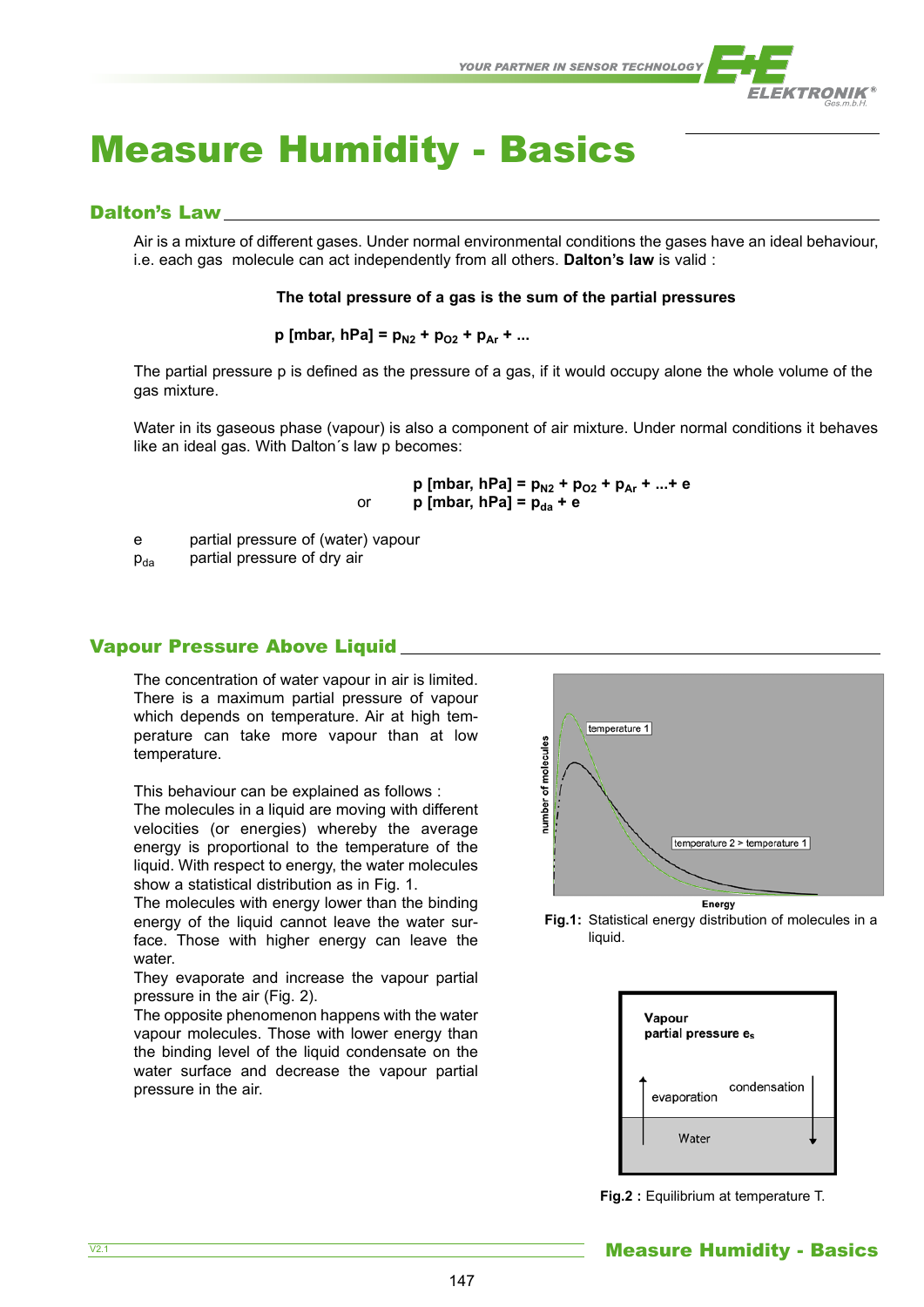

# Measure Humidity - Basics

# Dalton's Law

Air is a mixture of different gases. Under normal environmental conditions the gases have an ideal behaviour, i.e. each gas molecule can act independently from all others. **Dalton's law** is valid :

## **The total pressure of a gas is the sum of the partial pressures**

 $p$  [mbar, hPa] =  $p_{N2}$  +  $p_{O2}$  +  $p_{Ar}$  + ...

The partial pressure p is defined as the pressure of a gas, if it would occupy alone the whole volume of the gas mixture.

Water in its gaseous phase (vapour) is also a component of air mixture. Under normal conditions it behaves like an ideal gas. With Dalton´s law p becomes:

$$
p [mbar, hPa] = p_{N2} + p_{O2} + p_{Ar} + ... + e
$$
  
or 
$$
p [mbar, hPa] = p_{da} + e
$$

e partial pressure of (water) vapour

 $p_{da}$  partial pressure of dry air

# Vapour Pressure Above Liquid

The concentration of water vapour in air is limited. There is a maximum partial pressure of vapour which depends on temperature. Air at high temperature can take more vapour than at low temperature.

This behaviour can be explained as follows :

The molecules in a liquid are moving with different velocities (or energies) whereby the average energy is proportional to the temperature of the liquid. With respect to energy, the water molecules show a statistical distribution as in Fig. 1.

The molecules with energy lower than the binding energy of the liquid cannot leave the water surface. Those with higher energy can leave the water.

They evaporate and increase the vapour partial pressure in the air (Fig. 2).

The opposite phenomenon happens with the water vapour molecules. Those with lower energy than the binding level of the liquid condensate on the water surface and decrease the vapour partial pressure in the air.



**Fig.1:** Statistical energy distribution of molecules in a liquid.

| Vapour<br>partial pressure es |              |  |  |  |
|-------------------------------|--------------|--|--|--|
| evaporation                   | condensation |  |  |  |
| Water                         |              |  |  |  |

**Fig.2 :** Equilibrium at temperature T.

 $\overline{V2.1}$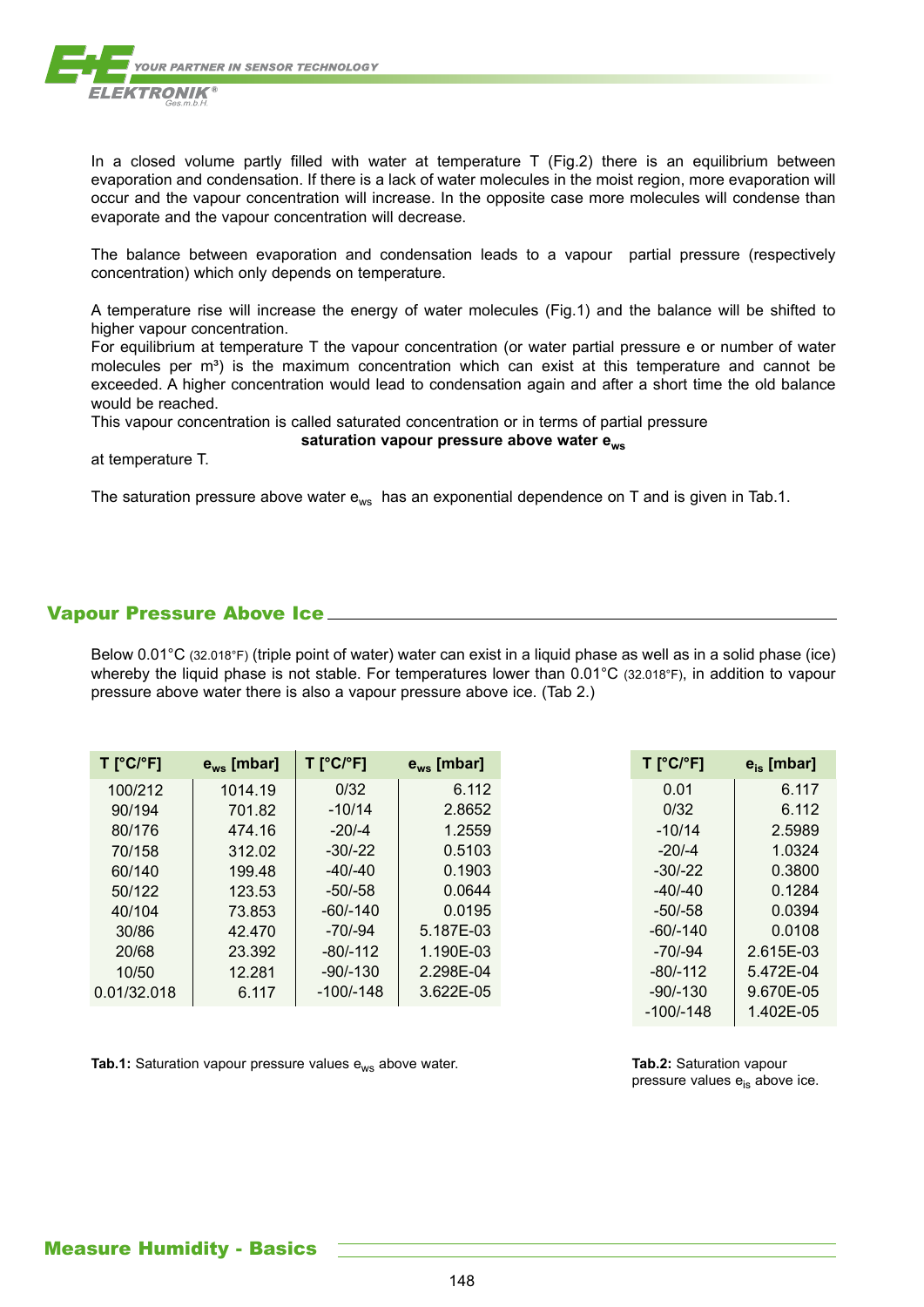

In a closed volume partly filled with water at temperature T (Fig.2) there is an equilibrium between evaporation and condensation. If there is a lack of water molecules in the moist region, more evaporation will occur and the vapour concentration will increase. In the opposite case more molecules will condense than evaporate and the vapour concentration will decrease.

The balance between evaporation and condensation leads to a vapour partial pressure (respectively concentration) which only depends on temperature.

A temperature rise will increase the energy of water molecules (Fig.1) and the balance will be shifted to higher vapour concentration.

For equilibrium at temperature T the vapour concentration (or water partial pressure e or number of water molecules per  $m<sup>3</sup>$ ) is the maximum concentration which can exist at this temperature and cannot be exceeded. A higher concentration would lead to condensation again and after a short time the old balance would be reached.

This vapour concentration is called saturated concentration or in terms of partial pressure

#### **saturation vapour pressure above water ews**

at temperature T.

The saturation pressure above water  $e_{ws}$  has an exponential dependence on T and is given in Tab.1.

# Vapour Pressure Above Ice

Below 0.01°C (32.018°F) (triple point of water) water can exist in a liquid phase as well as in a solid phase (ice) whereby the liquid phase is not stable. For temperatures lower than 0.01°C (32.018°F), in addition to vapour pressure above water there is also a vapour pressure above ice. (Tab 2.)

| $T$ [°C/°F] | $e_{ws}$ [mbar] | T [°C/°F]   | $e_{ws}$ [mbar] |
|-------------|-----------------|-------------|-----------------|
| 100/212     | 1014.19         | 0/32        | 6.112           |
| 90/194      | 701.82          | $-10/14$    | 2.8652          |
| 80/176      | 474.16          | $-20/-4$    | 1.2559          |
| 70/158      | 312.02          | $-30/-22$   | 0.5103          |
| 60/140      | 199.48          | $-40/-40$   | 0.1903          |
| 50/122      | 123.53          | $-50/-58$   | 0.0644          |
| 40/104      | 73.853          | $-60/-140$  | 0.0195          |
| 30/86       | 42.470          | $-70/-94$   | 5.187E-03       |
| 20/68       | 23.392          | $-80/-112$  | 1.190E-03       |
| 10/50       | 12.281          | $-90/-130$  | 2.298E-04       |
| 0.01/32.018 | 6.117           | $-100/-148$ | 3.622E-05       |
|             |                 |             |                 |

**Tab.1:** Saturation vapour pressure values e<sub>ws</sub> above water. **Tab.1: Tab.2:** Saturation vapour

pressure values  $e_{is}$  above ice.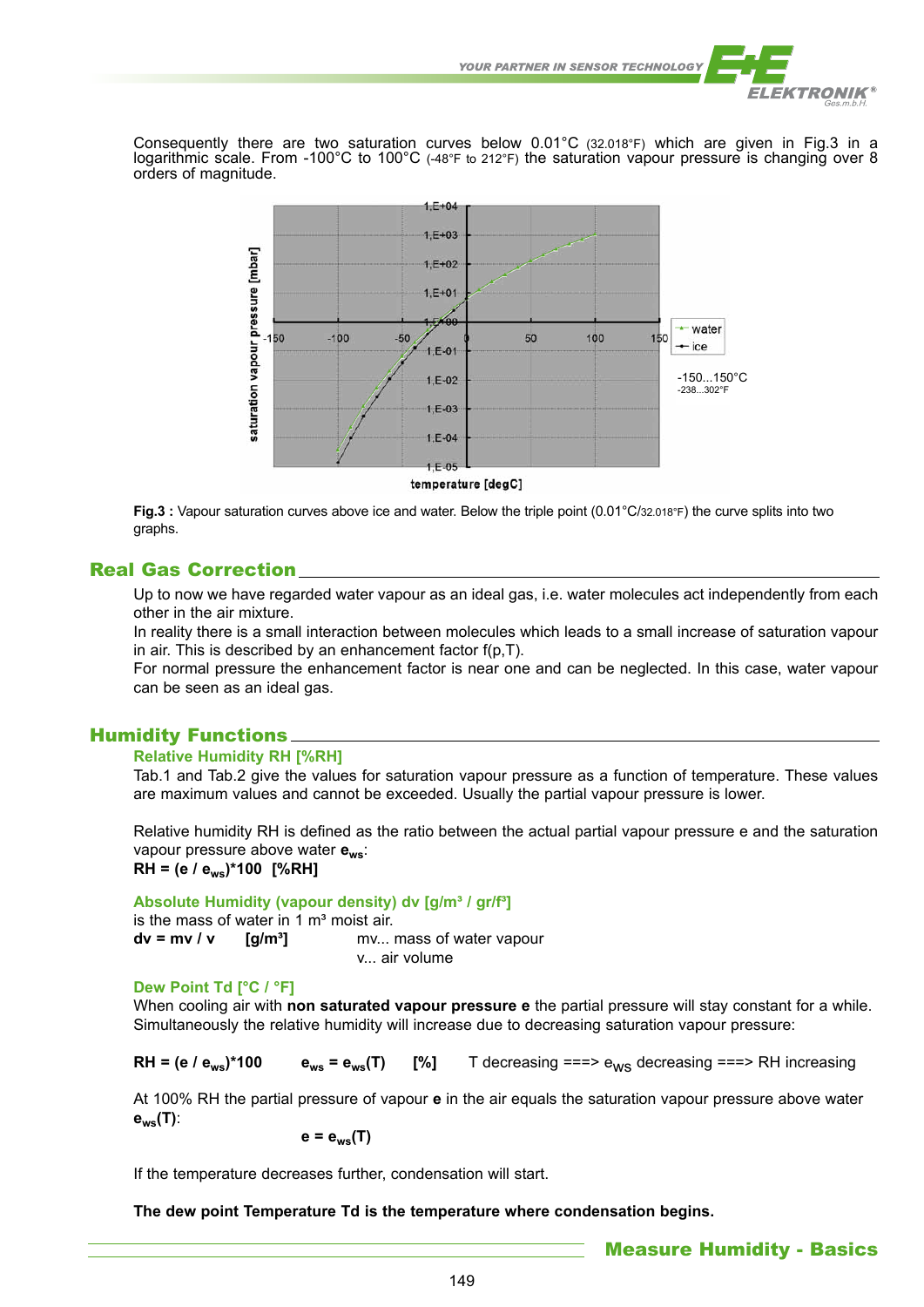

Consequently there are two saturation curves below 0.01°C (32.018°F) which are given in Fig.3 in a logarithmic scale. From -100°C to 100°C (-48°F to 212°F) the saturation vapour pressure is changing over 8 orders of magnitude.



temperature [degC]

**Fig.3 :** Vapour saturation curves above ice and water. Below the triple point (0.01°C/32.018°F) the curve splits into two graphs.

# Real Gas Correction

Up to now we have regarded water vapour as an ideal gas, i.e. water molecules act independently from each other in the air mixture.

In reality there is a small interaction between molecules which leads to a small increase of saturation vapour in air. This is described by an enhancement factor f(p,T).

For normal pressure the enhancement factor is near one and can be neglected. In this case, water vapour can be seen as an ideal gas.

# Humidity Functions

## **Relative Humidity RH [%RH]**

Tab.1 and Tab.2 give the values for saturation vapour pressure as a function of temperature. These values are maximum values and cannot be exceeded. Usually the partial vapour pressure is lower.

Relative humidity RH is defined as the ratio between the actual partial vapour pressure e and the saturation vapour pressure above water **ews**:

**RH = (e / ews)\*100 [%RH]**

Absolute Humidity (vapour density) dv [q/m<sup>3</sup> / qr/f<sup>3</sup>]

|                                   | is the mass of water in 1 m <sup>3</sup> moist air. |                                         |
|-----------------------------------|-----------------------------------------------------|-----------------------------------------|
| $dv = mv / v$ [g/m <sup>3</sup> ] |                                                     | mv mass of water vapour<br>v air volume |

## **Dew Point Td [°C / °F]**

When cooling air with **non saturated vapour pressure e** the partial pressure will stay constant for a while. Simultaneously the relative humidity will increase due to decreasing saturation vapour pressure:

**RH = (e / e<sub>ws</sub>)\*100 e**<sub>ws</sub> = e<sub>ws</sub>(T) [%] T decreasing ===> e<sub>ws</sub> decreasing ===> RH increasing

At 100% RH the partial pressure of vapour **e** in the air equals the saturation vapour pressure above water **ews(T)**:

 $e = e_{ws}(T)$ 

If the temperature decreases further, condensation will start.

**The dew point Temperature Td is the temperature where condensation begins.**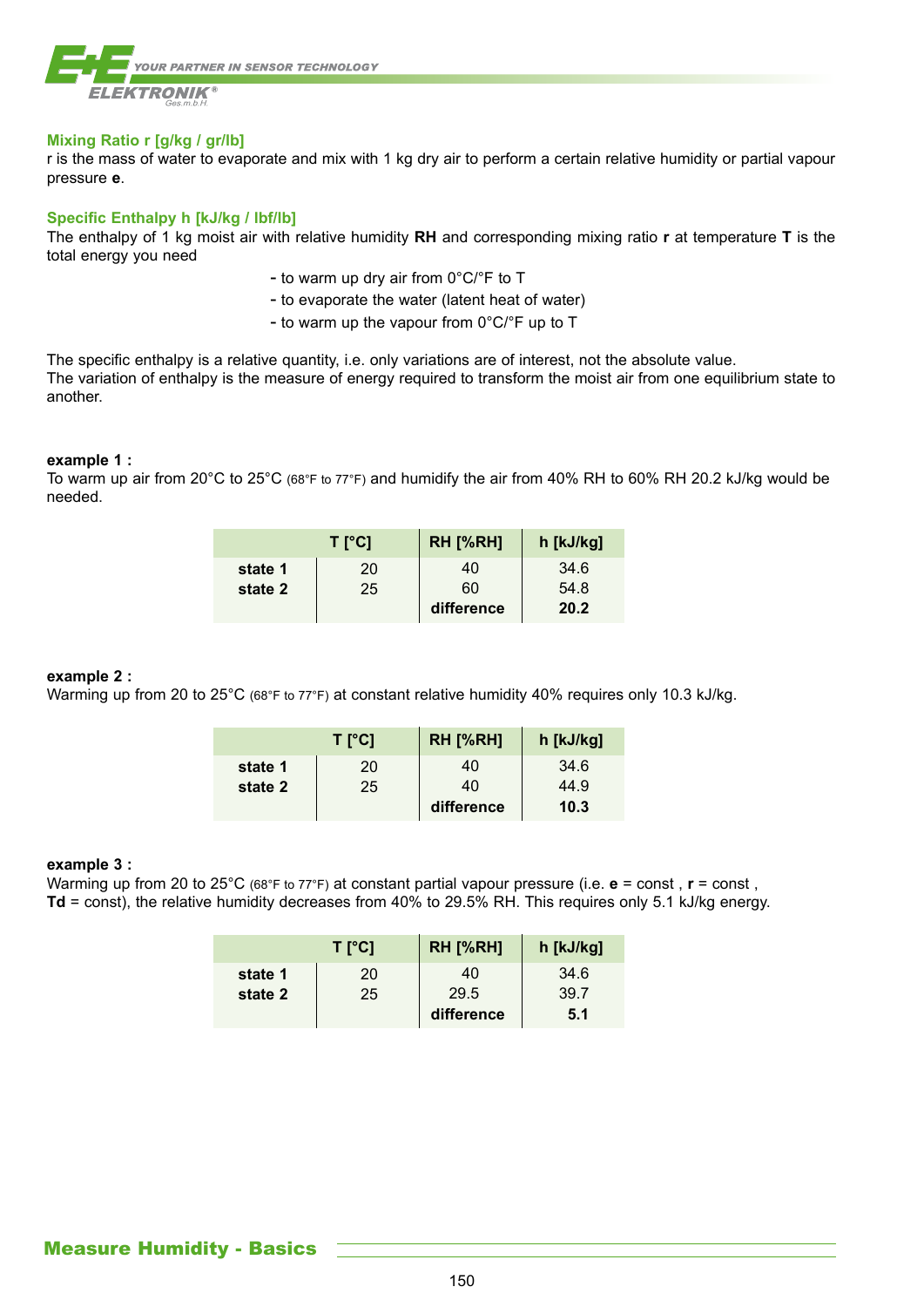

## **Mixing Ratio r [g/kg / gr/lb]**

r is the mass of water to evaporate and mix with 1 kg dry air to perform a certain relative humidity or partial vapour pressure **e**.

## **Specific Enthalpy h [kJ/kg / lbf/lb]**

The enthalpy of 1 kg moist air with relative humidity **RH** and corresponding mixing ratio **r** at temperature **T** is the total energy you need

- to warm up dry air from 0°C/°F to T
- to evaporate the water (latent heat of water)
- to warm up the vapour from 0°C/°F up to T

The specific enthalpy is a relative quantity, i.e. only variations are of interest, not the absolute value. The variation of enthalpy is the measure of energy required to transform the moist air from one equilibrium state to another.

## **example 1 :**

To warm up air from 20°C to 25°C (68°F to 77°F) and humidify the air from 40% RH to 60% RH 20.2 kJ/kg would be needed.

|         | $T$ [°C] | <b>RH [%RH]</b> | h [kJ/kg] |
|---------|----------|-----------------|-----------|
| state 1 | 20       | 40              | 34.6      |
| state 2 | 25       | 60              | 54.8      |
|         |          | difference      | 20.2      |

## **example 2 :**

Warming up from 20 to 25°C (68°F to 77°F) at constant relative humidity 40% requires only 10.3 kJ/kg.

|         | $T$ [°C] | <b>RH [%RH]</b> | h [kJ/kg] |
|---------|----------|-----------------|-----------|
| state 1 | 20       | 40              | 34.6      |
| state 2 | 25       | 40              | 44.9      |
|         |          | difference      | 10.3      |

#### **example 3 :**

Warming up from 20 to 25<sup>°</sup>C (68<sup>°</sup>F to 77<sup>°</sup>F) at constant partial vapour pressure (i.e. **e** = const, **r** = const, **Td** = const), the relative humidity decreases from 40% to 29.5% RH. This requires only 5.1 kJ/kg energy.

|         | $T$ [°C] | <b>RH [%RH]</b> | h [kJ/kg] |
|---------|----------|-----------------|-----------|
| state 1 | 20       | 40              | 34.6      |
| state 2 | 25       | 29.5            | 39.7      |
|         |          | difference      | 5.1       |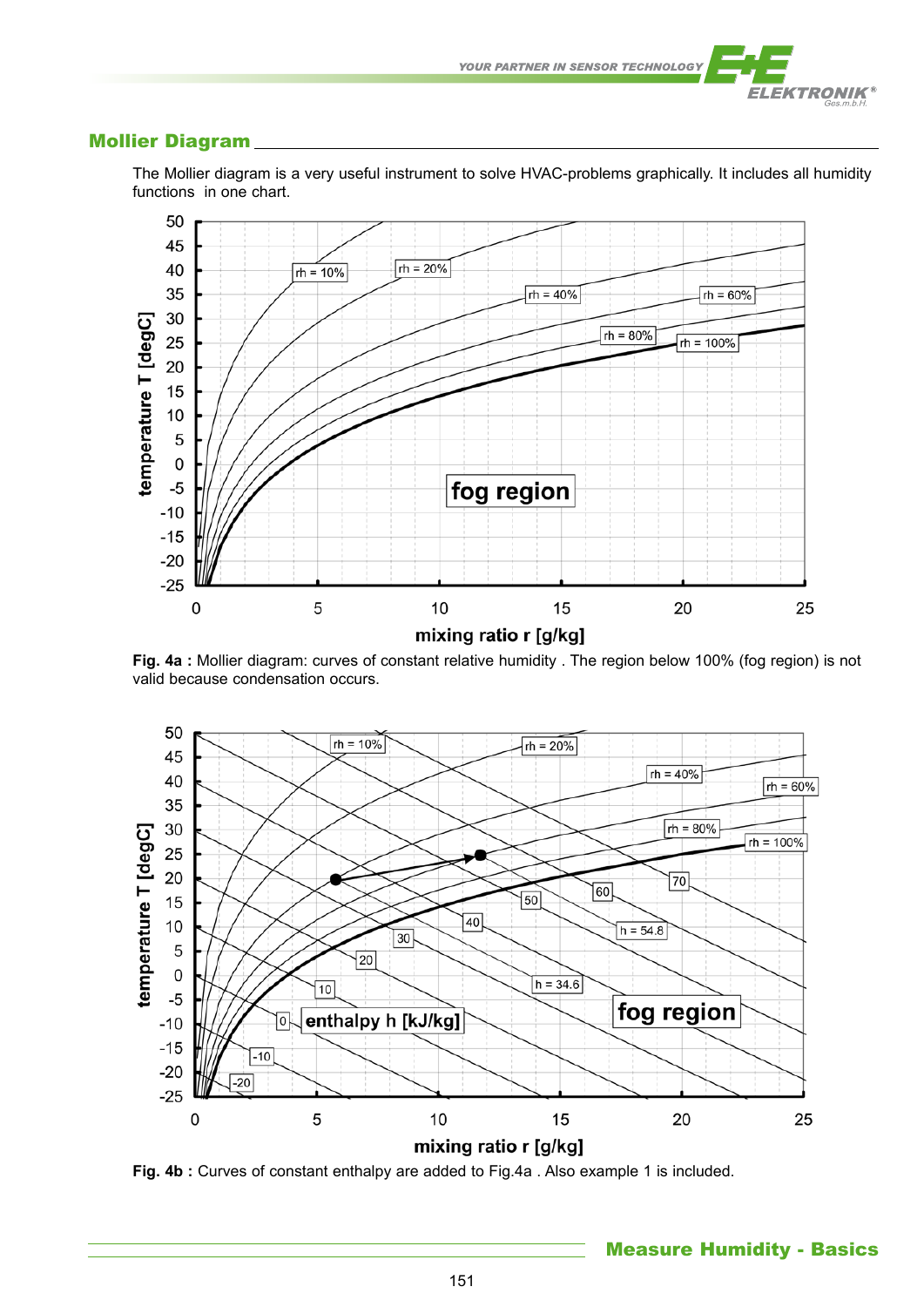

# Mollier Diagram



The Mollier diagram is a very useful instrument to solve HVAC-problems graphically. It includes all humidity functions in one chart.

**Fig. 4a :** Mollier diagram: curves of constant relative humidity . The region below 100% (fog region) is not valid because condensation occurs.



**Fig. 4b :** Curves of constant enthalpy are added to Fig.4a . Also example 1 is included.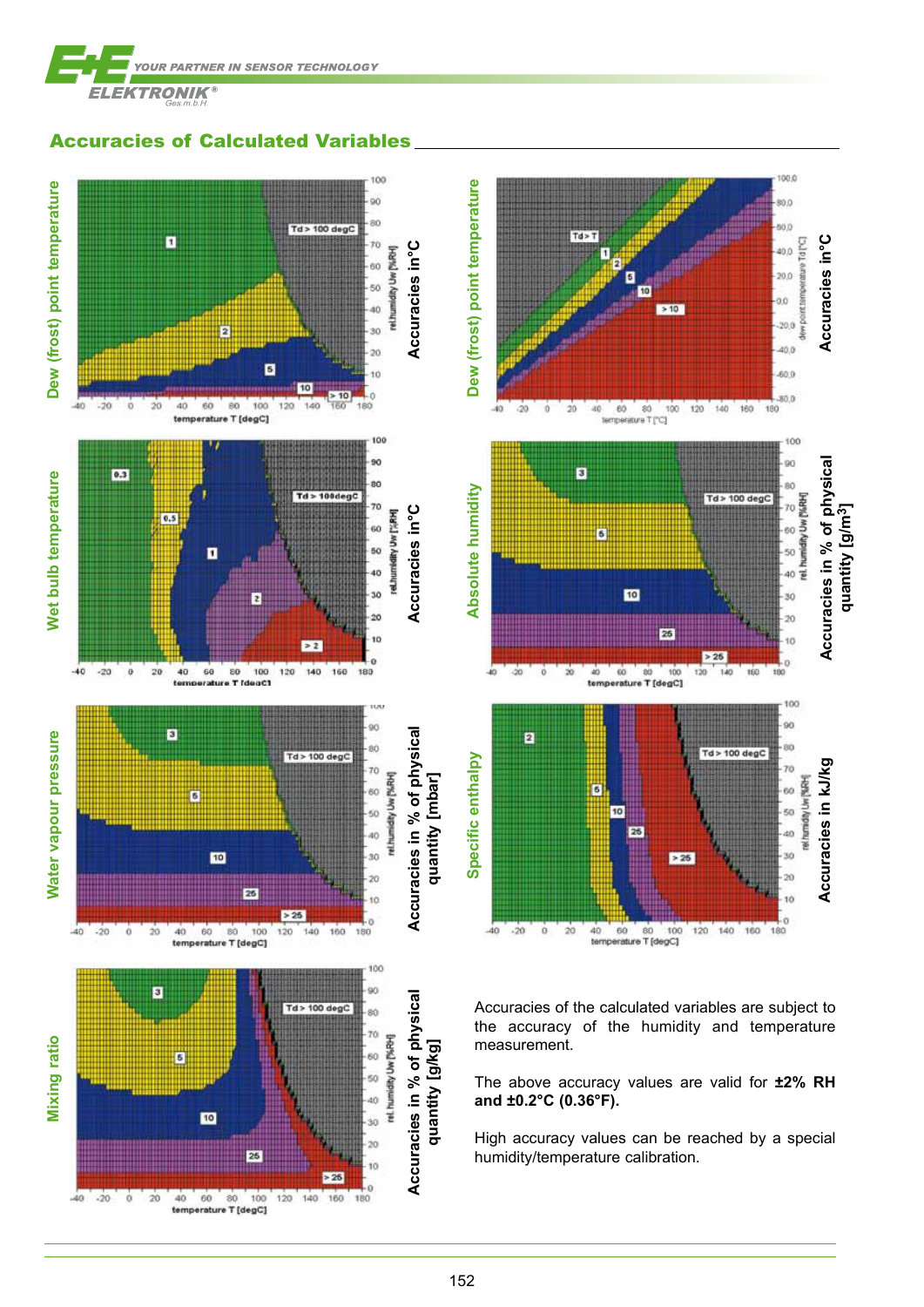

Accuracies of Calculated Variables